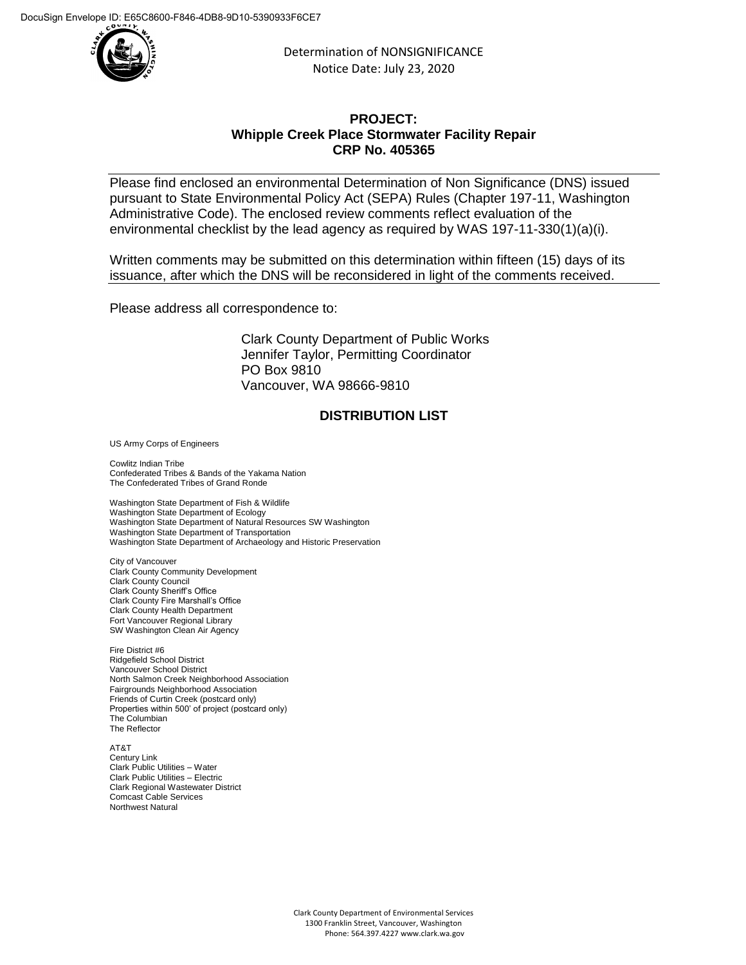

Determination of NONSIGNIFICANCE Notice Date: July 23, 2020

## **PROJECT: Whipple Creek Place Stormwater Facility Repair CRP No. 405365**

Please find enclosed an environmental Determination of Non Significance (DNS) issued pursuant to State Environmental Policy Act (SEPA) Rules (Chapter 197-11, Washington Administrative Code). The enclosed review comments reflect evaluation of the environmental checklist by the lead agency as required by WAS 197-11-330(1)(a)(i).

Written comments may be submitted on this determination within fifteen (15) days of its issuance, after which the DNS will be reconsidered in light of the comments received.

Please address all correspondence to:

Clark County Department of Public Works Jennifer Taylor, Permitting Coordinator PO Box 9810 Vancouver, WA 98666-9810

## **DISTRIBUTION LIST**

US Army Corps of Engineers

Cowlitz Indian Tribe Confederated Tribes & Bands of the Yakama Nation The Confederated Tribes of Grand Ronde

Washington State Department of Fish & Wildlife Washington State Department of Ecology Washington State Department of Natural Resources SW Washington Washington State Department of Transportation Washington State Department of Archaeology and Historic Preservation

City of Vancouver Clark County Community Development Clark County Council Clark County Sheriff's Office Clark County Fire Marshall's Office Clark County Health Department Fort Vancouver Regional Library SW Washington Clean Air Agency

Fire District #6 Ridgefield School District Vancouver School District North Salmon Creek Neighborhood Association Fairgrounds Neighborhood Association Friends of Curtin Creek (postcard only) Properties within 500' of project (postcard only) The Columbian The Reflector

AT&T Century Link Clark Public Utilities – Water Clark Public Utilities – Electric Clark Regional Wastewater District Comcast Cable Services Northwest Natural